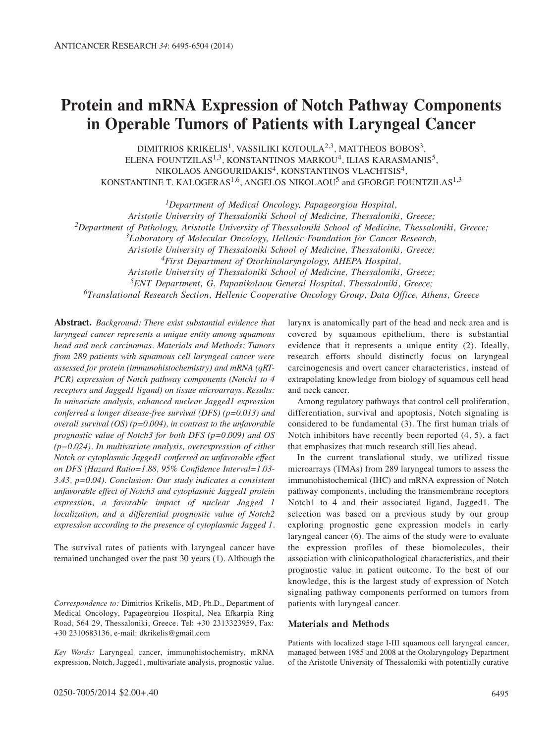# **Protein and mRNA Expression of Notch Pathway Components in Operable Tumors of Patients with Laryngeal Cancer**

DIMITRIOS KRIKELIS<sup>1</sup>, VASSILIKI KOTOULA<sup>2,3</sup>, MATTHEOS BOBOS<sup>3</sup>, ELENA FOUNTZILAS<sup>1,3</sup>, KONSTANTINOS MARKOU<sup>4</sup>, ILIAS KARASMANIS<sup>5</sup>, NIKOLAOS ANGOURIDAKIS<sup>4</sup>, KONSTANTINOS VLACHTSIS<sup>4</sup>, KONSTANTINE T. KALOGERAS<sup>1,6</sup>, ANGELOS NIKOLAOU<sup>5</sup> and GEORGE FOUNTZILAS<sup>1,3</sup>

*1Department of Medical Oncology, Papageorgiou Hospital, Aristotle University of Thessaloniki School of Medicine, Thessaloniki, Greece; 2Department of Pathology, Aristotle University of Thessaloniki School of Medicine, Thessaloniki, Greece; 3Laboratory of Molecular Oncology, Hellenic Foundation for Cancer Research, Aristotle University of Thessaloniki School of Medicine, Thessaloniki, Greece; 4First Department of Otorhinolaryngology, AHEPA Hospital, Aristotle University of Thessaloniki School of Medicine, Thessaloniki, Greece; 5ENT Department, G. Papanikolaou General Hospital, Thessaloniki, Greece; 6Translational Research Section, Hellenic Cooperative Oncology Group, Data Office, Athens, Greece*

**Abstract.** *Background: There exist substantial evidence that laryngeal cancer represents a unique entity among squamous head and neck carcinomas. Materials and Methods: Tumors from 289 patients with squamous cell laryngeal cancer were assessed for protein (immunohistochemistry) and mRNA (qRT-PCR) expression of Notch pathway components (Notch1 to 4 receptors and Jagged1 ligand) on tissue microarrays. Results: In univariate analysis, enhanced nuclear Jagged1 expression conferred a longer disease-free survival (DFS) (p=0.013) and overall survival (OS) (p=0.004), in contrast to the unfavorable prognostic value of Notch3 for both DFS (p=0.009) and OS (p=0.024). In multivariate analysis, overexpression of either Notch or cytoplasmic Jagged1 conferred an unfavorable effect on DFS (Hazard Ratio=1.88, 95% Confidence Interval=1.03- 3.43, p=0.04). Conclusion: Our study indicates a consistent unfavorable effect of Notch3 and cytoplasmic Jagged1 protein expression, a favorable impact of nuclear Jagged 1 localization, and a differential prognostic value of Notch2 expression according to the presence of cytoplasmic Jagged 1.*

The survival rates of patients with laryngeal cancer have remained unchanged over the past 30 years (1). Although the

*Key Words:* Laryngeal cancer, immunohistochemistry, mRNA expression, Notch, Jagged1, multivariate analysis, prognostic value.

larynx is anatomically part of the head and neck area and is covered by squamous epithelium, there is substantial evidence that it represents a unique entity (2). Ideally, research efforts should distinctly focus on laryngeal carcinogenesis and overt cancer characteristics, instead of extrapolating knowledge from biology of squamous cell head and neck cancer.

Among regulatory pathways that control cell proliferation, differentiation, survival and apoptosis, Notch signaling is considered to be fundamental (3). The first human trials of Notch inhibitors have recently been reported (4, 5), a fact that emphasizes that much research still lies ahead.

In the current translational study, we utilized tissue microarrays (TMAs) from 289 laryngeal tumors to assess the immunohistochemical (IHC) and mRNA expression of Notch pathway components, including the transmembrane receptors Notch1 to 4 and their associated ligand, Jagged1. The selection was based on a previous study by our group exploring prognostic gene expression models in early laryngeal cancer (6). The aims of the study were to evaluate the expression profiles of these biomolecules, their association with clinicopathological characteristics, and their prognostic value in patient outcome. To the best of our knowledge, this is the largest study of expression of Notch signaling pathway components performed on tumors from patients with laryngeal cancer.

#### **Materials and Methods**

Patients with localized stage I-III squamous cell laryngeal cancer, managed between 1985 and 2008 at the Otolaryngology Department of the Aristotle University of Thessaloniki with potentially curative

*Correspondence to:* Dimitrios Krikelis, MD, Ph.D., Department of Medical Oncology, Papageorgiou Hospital, Nea Efkarpia Ring Road, 564 29, Thessaloniki, Greece. Tel: +30 2313323959, Fax: +30 2310683136, e-mail: dkrikelis@gmail.com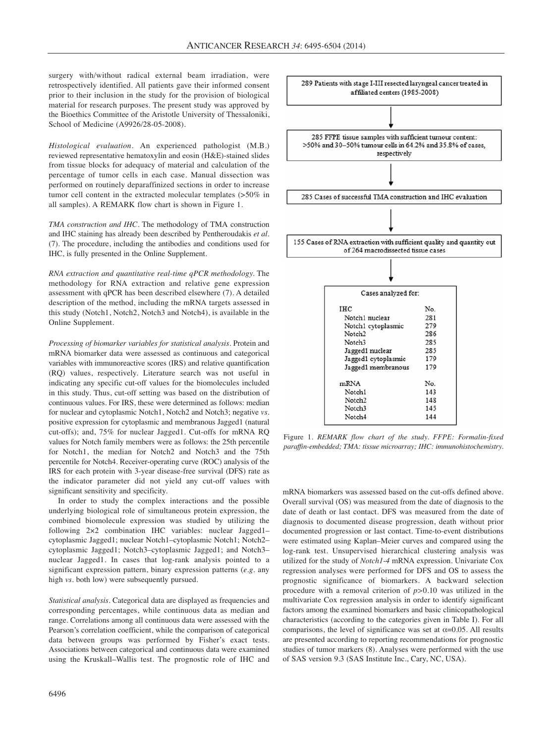surgery with/without radical external beam irradiation, were retrospectively identified. All patients gave their informed consent prior to their inclusion in the study for the provision of biological material for research purposes. The present study was approved by the Bioethics Committee of the Aristotle University of Thessaloniki, School of Medicine (A9926/28-05-2008).

*Histological evaluation.* An experienced pathologist (M.B.) reviewed representative hematoxylin and eosin (H&E)-stained slides from tissue blocks for adequacy of material and calculation of the percentage of tumor cells in each case. Manual dissection was performed on routinely deparaffinized sections in order to increase tumor cell content in the extracted molecular templates (>50% in all samples). A REMARK flow chart is shown in Figure 1.

*TMA construction and IHC*. The methodology of TMA construction and IHC staining has already been described by Pentheroudakis *et al.* (7). The procedure, including the antibodies and conditions used for IHC, is fully presented in the Online Supplement.

*RNA extraction and quantitative real-time qPCR methodology.* The methodology for RNA extraction and relative gene expression assessment with qPCR has been described elsewhere (7). A detailed description of the method, including the mRNA targets assessed in this study (Notch1, Notch2, Notch3 and Notch4), is available in the Online Supplement.

*Processing of biomarker variables for statistical analysis.* Protein and mRNA biomarker data were assessed as continuous and categorical variables with immunoreactive scores (IRS) and relative quantification (RQ) values, respectively. Literature search was not useful in indicating any specific cut-off values for the biomolecules included in this study. Thus, cut-off setting was based on the distribution of continuous values. For IRS, these were determined as follows: median for nuclear and cytoplasmic Notch1, Notch2 and Notch3; negative *vs.* positive expression for cytoplasmic and membranous Jagged1 (natural cut-offs); and, 75% for nuclear Jagged1. Cut-offs for mRNA RQ values for Notch family members were as follows: the 25th percentile for Notch1, the median for Notch2 and Notch3 and the 75th percentile for Notch4. Receiver-operating curve (ROC) analysis of the IRS for each protein with 3-year disease-free survival (DFS) rate as the indicator parameter did not yield any cut-off values with significant sensitivity and specificity.

In order to study the complex interactions and the possible underlying biological role of simultaneous protein expression, the combined biomolecule expression was studied by utilizing the following 2×2 combination IHC variables: nuclear Jagged1– cytoplasmic Jagged1; nuclear Notch1–cytoplasmic Notch1; Notch2– cytoplasmic Jagged1; Notch3–cytoplasmic Jagged1; and Notch3– nuclear Jagged1. In cases that log-rank analysis pointed to a significant expression pattern, binary expression patterns (*e.g.* any high *vs.* both low) were subsequently pursued.

*Statistical analysis.* Categorical data are displayed as frequencies and corresponding percentages, while continuous data as median and range. Correlations among all continuous data were assessed with the Pearson's correlation coefficient, while the comparison of categorical data between groups was performed by Fisher's exact tests. Associations between categorical and continuous data were examined using the Kruskall–Wallis test. The prognostic role of IHC and



Figure 1. *REMARK flow chart of the study. FFPE: Formalin-fixed paraffin-embedded; TMA: tissue microarray; IHC: immunohistochemistry.*

mRNA biomarkers was assessed based on the cut-offs defined above. Overall survival (OS) was measured from the date of diagnosis to the date of death or last contact. DFS was measured from the date of diagnosis to documented disease progression, death without prior documented progression or last contact. Time-to-event distributions were estimated using Kaplan–Meier curves and compared using the log-rank test. Unsupervised hierarchical clustering analysis was utilized for the study of *Notch1-4* mRNA expression. Univariate Cox regression analyses were performed for DFS and OS to assess the prognostic significance of biomarkers. A backward selection procedure with a removal criterion of *p>*0.10 was utilized in the multivariate Cox regression analysis in order to identify significant factors among the examined biomarkers and basic clinicopathological characteristics (according to the categories given in Table I). For all comparisons, the level of significance was set at  $\alpha$ =0.05. All results are presented according to reporting recommendations for prognostic studies of tumor markers (8). Analyses were performed with the use of SAS version 9.3 (SAS Institute Inc., Cary, NC, USA).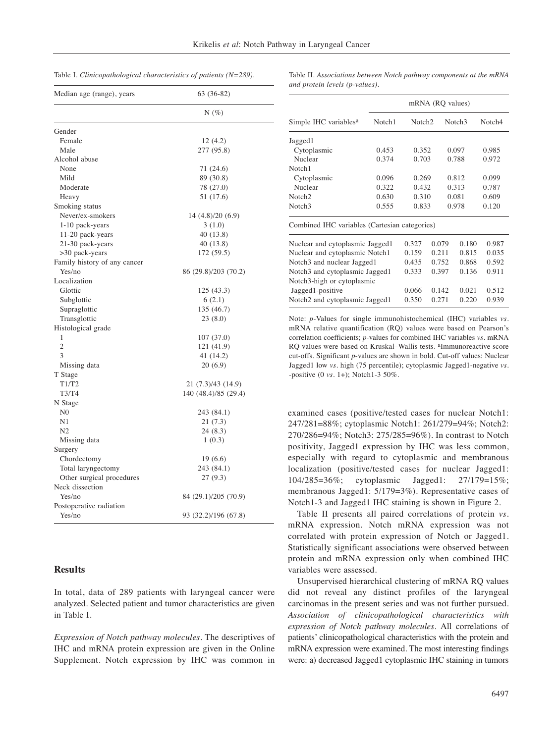|  |  |  |  |  | Table I. Clinicopathological characteristics of patients $(N=289)$ . |  |  |  |
|--|--|--|--|--|----------------------------------------------------------------------|--|--|--|
|--|--|--|--|--|----------------------------------------------------------------------|--|--|--|

Table II. *Associations between Notch pathway components at the mRNA and protein levels (p-values).*

mRNA (RQ values)

| Median age (range), years    | 63 (36-82)           |  |  |  |
|------------------------------|----------------------|--|--|--|
|                              | $N(\%)$              |  |  |  |
| Gender                       |                      |  |  |  |
| Female                       | 12 (4.2)             |  |  |  |
| Male                         | 277 (95.8)           |  |  |  |
| Alcohol abuse                |                      |  |  |  |
| None                         | 71 (24.6)            |  |  |  |
| Mild                         | 89 (30.8)            |  |  |  |
| Moderate                     | 78 (27.0)            |  |  |  |
| Heavy                        | 51 (17.6)            |  |  |  |
| Smoking status               |                      |  |  |  |
| Never/ex-smokers             | 14 (4.8)/20 (6.9)    |  |  |  |
| 1-10 pack-years              | 3(1.0)               |  |  |  |
| 11-20 pack-years             | 40 (13.8)            |  |  |  |
| 21-30 pack-years             | 40 (13.8)            |  |  |  |
| >30 pack-years               | 172 (59.5)           |  |  |  |
| Family history of any cancer |                      |  |  |  |
| Yes/no                       | 86 (29.8)/203 (70.2) |  |  |  |
| Localization                 |                      |  |  |  |
| Glottic                      | 125 (43.3)           |  |  |  |
| Subglottic                   | 6(2.1)               |  |  |  |
| Supraglottic                 | 135 (46.7)           |  |  |  |
| Transglottic                 | 23 (8.0)             |  |  |  |
| Histological grade           |                      |  |  |  |
| 1                            | 107(37.0)            |  |  |  |
| $\overline{c}$               | 121 (41.9)           |  |  |  |
| 3                            | 41 (14.2)            |  |  |  |
| Missing data                 | 20(6.9)              |  |  |  |
| T Stage                      |                      |  |  |  |
| T1/T2                        | 21 (7.3)/43 (14.9)   |  |  |  |
| T3/T4                        | 140 (48.4)/85 (29.4) |  |  |  |
| N Stage                      |                      |  |  |  |
| N <sub>0</sub>               | 243 (84.1)           |  |  |  |
| N1                           | 21 (7.3)             |  |  |  |
| N <sub>2</sub>               | 24 (8.3)             |  |  |  |
| Missing data                 | 1(0.3)               |  |  |  |
| Surgery                      |                      |  |  |  |
| Chordectomy                  | 19 (6.6)             |  |  |  |
| Total laryngectomy           | 243 (84.1)           |  |  |  |
| Other surgical procedures    | 27 (9.3)             |  |  |  |
| Neck dissection              |                      |  |  |  |
| Yes/no                       | 84 (29.1)/205 (70.9) |  |  |  |
| Postoperative radiation      |                      |  |  |  |
| Yes/no                       | 93 (32.2)/196 (67.8) |  |  |  |

## **Results**

In total, data of 289 patients with laryngeal cancer were analyzed. Selected patient and tumor characteristics are given in Table I.

*Expression of Notch pathway molecules.* The descriptives of IHC and mRNA protein expression are given in the Online Supplement. Notch expression by IHC was common in

| Simple IHC variables <sup>a</sup>                  | Notch1 | Notch <sub>2</sub> |       | Notch <sub>3</sub> | Notch4 |  |
|----------------------------------------------------|--------|--------------------|-------|--------------------|--------|--|
| Jagged1                                            |        |                    |       |                    |        |  |
| Cytoplasmic                                        | 0.453  | 0.352              |       | 0.097              | 0.985  |  |
| Nuclear                                            | 0.374  | 0.703              |       | 0.788              | 0.972  |  |
| Notch1                                             |        |                    |       |                    |        |  |
| Cytoplasmic                                        | 0.096  | 0.269              |       | 0.812              | 0.099  |  |
| Nuclear                                            | 0.322  | 0.432              |       | 0.313              | 0.787  |  |
| Notch <sub>2</sub>                                 | 0.630  | 0.310              |       | 0.081              | 0.609  |  |
| Notch <sub>3</sub>                                 | 0.555  | 0.833              |       | 0.978              | 0.120  |  |
| Combined IHC variables (Cartesian categories)      |        |                    |       |                    |        |  |
| Nuclear and cytoplasmic Jagged1                    |        | 0.327              | 0.079 | 0.180              | 0.987  |  |
| Nuclear and cytoplasmic Notch1                     |        | 0.159              | 0.211 | 0.815              | 0.035  |  |
| Notch <sub>3</sub> and nuclear Jagged <sub>1</sub> | 0.435  | 0.752              | 0.868 | 0.592              |        |  |
| Notch <sub>3</sub> and cytoplasmic Jagged1         | 0.333  | 0.397              | 0.136 | 0.911              |        |  |
| Notch3-high or cytoplasmic                         |        |                    |       |                    |        |  |
| Jagged1-positive                                   |        | 0.066              | 0.142 | 0.021              | 0.512  |  |
| Notch2 and cytoplasmic Jagged1                     |        | 0.350              | 0.271 | 0.220              | 0.939  |  |

Note: *p*-Values for single immunohistochemical (IHC) variables *vs.* mRNA relative quantification (RQ) values were based on Pearson's correlation coefficients; *p-*values for combined IHC variables *vs.* mRNA RQ values were based on Kruskal–Wallis tests. aImmunoreactive score cut-offs. Significant *p*-values are shown in bold. Cut-off values: Nuclear Jagged1 low *vs.* high (75 percentile); cytoplasmic Jagged1-negative *vs.* -positive (0 *vs.* 1+); Notch1-3 50%.

examined cases (positive/tested cases for nuclear Notch1: 247/281=88%; cytoplasmic Notch1: 261/279=94%; Notch2: 270/286=94%; Notch3: 275/285=96%). In contrast to Notch positivity, Jagged1 expression by IHC was less common, especially with regard to cytoplasmic and membranous localization (positive/tested cases for nuclear Jagged1: 104/285=36%; cytoplasmic Jagged1: 27/179=15%; membranous Jagged1: 5/179=3%). Representative cases of Notch1-3 and Jagged1 IHC staining is shown in Figure 2.

Table II presents all paired correlations of protein *vs.* mRNA expression. Notch mRNA expression was not correlated with protein expression of Notch or Jagged1. Statistically significant associations were observed between protein and mRNA expression only when combined IHC variables were assessed.

Unsupervised hierarchical clustering of mRNA RQ values did not reveal any distinct profiles of the laryngeal carcinomas in the present series and was not further pursued. *Association of clinicopathological characteristics with expression of Notch pathway molecules.* All correlations of patients' clinicopathological characteristics with the protein and mRNA expression were examined. The most interesting findings were: a) decreased Jagged1 cytoplasmic IHC staining in tumors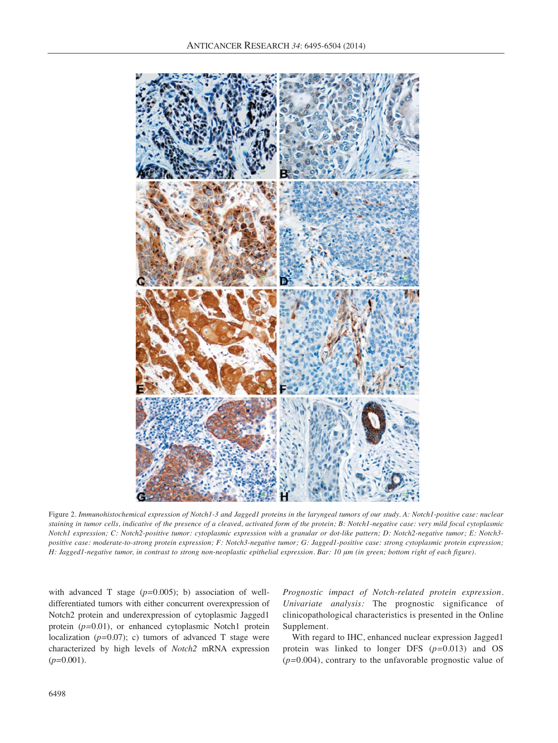

Figure 2. *Immunohistochemical expression of Notch1-3 and Jagged1 proteins in the laryngeal tumors of our study. A: Notch1-positive case: nuclear staining in tumor cells, indicative of the presence of a cleaved, activated form of the protein; B: Notch1-negative case: very mild focal cytoplasmic Notch1 expression; C: Notch2-positive tumor: cytoplasmic expression with a granular or dot-like pattern; D: Notch2-negative tumor; E: Notch3 positive case: moderate-to-strong protein expression; F: Notch3-negative tumor; G: Jagged1-positive case: strong cytoplasmic protein expression; H: Jagged1-negative tumor, in contrast to strong non-neoplastic epithelial expression. Bar: 10 μm (in green; bottom right of each figure).*

with advanced T stage (*p=*0.005); b) association of welldifferentiated tumors with either concurrent overexpression of Notch2 protein and underexpression of cytoplasmic Jagged1 protein (*p=*0.01), or enhanced cytoplasmic Notch1 protein localization (*p=*0.07); c) tumors of advanced T stage were characterized by high levels of *Notch2* mRNA expression (*p=*0.001).

*Prognostic impact of Notch-related protein expression. Univariate analysis:* The prognostic significance of clinicopathological characteristics is presented in the Online Supplement.

With regard to IHC, enhanced nuclear expression Jagged1 protein was linked to longer DFS (*p=*0.013) and OS (*p=*0.004), contrary to the unfavorable prognostic value of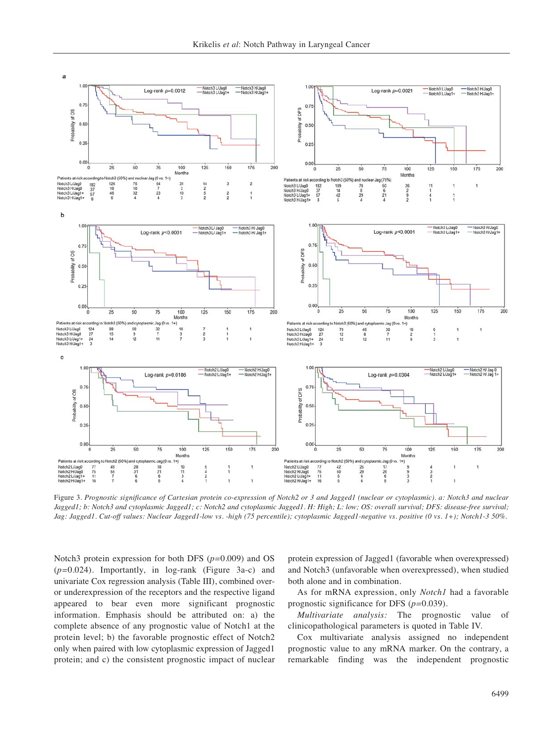![](_page_4_Figure_1.jpeg)

Figure 3. *Prognostic significance of Cartesian protein co-expression of Notch2 or 3 and Jagged1 (nuclear or cytoplasmic). a: Notch3 and nuclear Jagged1; b: Notch3 and cytoplasmic Jagged1; c: Notch2 and cytoplasmic Jagged1. H: High; L: low; OS: overall survival; DFS: disease-free survival; Jag: Jagged1. Cut-off values: Nuclear Jagged1-low vs. -high (75 percentile); cytoplasmic Jagged1-negative vs. positive (0 vs. 1+); Notch1-3 50%.*

Notch3 protein expression for both DFS (*p=*0.009) and OS (*p=*0.024). Importantly, in log-rank (Figure 3a-c) and univariate Cox regression analysis (Table III), combined overor underexpression of the receptors and the respective ligand appeared to bear even more significant prognostic information. Emphasis should be attributed on: a) the complete absence of any prognostic value of Notch1 at the protein level; b) the favorable prognostic effect of Notch2 only when paired with low cytoplasmic expression of Jagged1 protein; and c) the consistent prognostic impact of nuclear protein expression of Jagged1 (favorable when overexpressed) and Notch3 (unfavorable when overexpressed), when studied both alone and in combination.

As for mRNA expression, only *Notch1* had a favorable prognostic significance for DFS (*p=*0.039).

*Multivariate analysis:* The prognostic value of clinicopathological parameters is quoted in Table IV.

Cox multivariate analysis assigned no independent prognostic value to any mRNA marker. On the contrary, a remarkable finding was the independent prognostic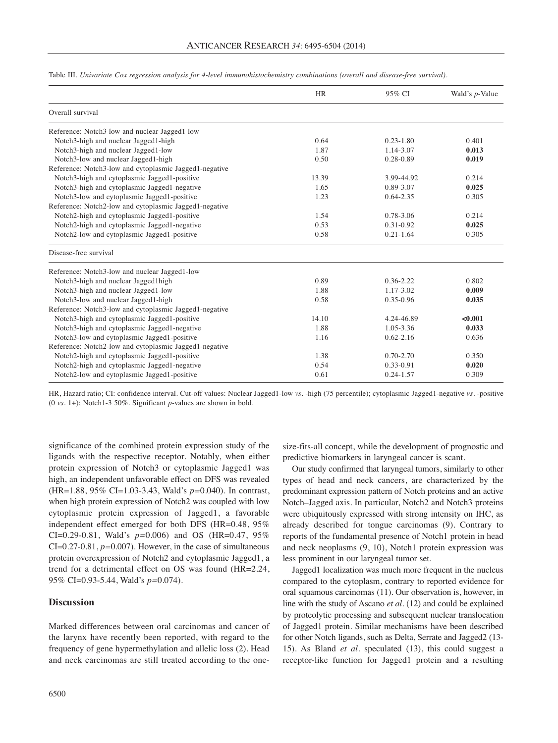|                                                        | <b>HR</b> | 95% CI        | Wald's <i>p</i> -Value |
|--------------------------------------------------------|-----------|---------------|------------------------|
| Overall survival                                       |           |               |                        |
| Reference: Notch3 low and nuclear Jagged1 low          |           |               |                        |
| Notch3-high and nuclear Jagged1-high                   | 0.64      | $0.23 - 1.80$ | 0.401                  |
| Notch3-high and nuclear Jagged1-low                    | 1.87      | 1.14-3.07     | 0.013                  |
| Notch3-low and nuclear Jagged1-high                    | 0.50      | 0.28-0.89     | 0.019                  |
| Reference: Notch3-low and cytoplasmic Jagged1-negative |           |               |                        |
| Notch3-high and cytoplasmic Jagged1-positive           | 13.39     | 3.99-44.92    | 0.214                  |
| Notch3-high and cytoplasmic Jagged1-negative           | 1.65      | 0.89-3.07     | 0.025                  |
| Notch3-low and cytoplasmic Jagged1-positive            | 1.23      | $0.64 - 2.35$ | 0.305                  |
| Reference: Notch2-low and cytoplasmic Jagged1-negative |           |               |                        |
| Notch2-high and cytoplasmic Jagged1-positive           | 1.54      | 0.78-3.06     | 0.214                  |
| Notch2-high and cytoplasmic Jagged1-negative           | 0.53      | 0.31-0.92     | 0.025                  |
| Notch2-low and cytoplasmic Jagged1-positive            | 0.58      | $0.21 - 1.64$ | 0.305                  |
| Disease-free survival                                  |           |               |                        |
| Reference: Notch3-low and nuclear Jagged1-low          |           |               |                        |
| Notch3-high and nuclear Jagged1high                    | 0.89      | $0.36 - 2.22$ | 0.802                  |
| Notch3-high and nuclear Jagged1-low                    | 1.88      | 1.17-3.02     | 0.009                  |
| Notch3-low and nuclear Jagged1-high                    | 0.58      | 0.35-0.96     | 0.035                  |
| Reference: Notch3-low and cytoplasmic Jagged1-negative |           |               |                        |
| Notch3-high and cytoplasmic Jagged1-positive           | 14.10     | 4.24-46.89    | < 0.001                |
| Notch3-high and cytoplasmic Jagged1-negative           | 1.88      | $1.05 - 3.36$ | 0.033                  |
| Notch3-low and cytoplasmic Jagged1-positive            | 1.16      | $0.62 - 2.16$ | 0.636                  |
| Reference: Notch2-low and cytoplasmic Jagged1-negative |           |               |                        |
| Notch2-high and cytoplasmic Jagged1-positive           | 1.38      | $0.70 - 2.70$ | 0.350                  |
| Notch2-high and cytoplasmic Jagged1-negative           | 0.54      | 0.33-0.91     | 0.020                  |
| Notch2-low and cytoplasmic Jagged1-positive            | 0.61      | $0.24 - 1.57$ | 0.309                  |

Table III. *Univariate Cox regression analysis for 4-level immunohistochemistry combinations (overall and disease-free survival).*

HR, Hazard ratio; CI: confidence interval. Cut-off values: Nuclear Jagged1-low *vs.* -high (75 percentile); cytoplasmic Jagged1-negative *vs.* -positive (0 *vs.* 1+); Notch1-3 50%. Significant *p*-values are shown in bold.

significance of the combined protein expression study of the ligands with the respective receptor. Notably, when either protein expression of Notch3 or cytoplasmic Jagged1 was high, an independent unfavorable effect on DFS was revealed (HR=1.88, 95% CI=1.03-3.43, Wald's *p=*0.040). In contrast, when high protein expression of Notch2 was coupled with low cytoplasmic protein expression of Jagged1, a favorable independent effect emerged for both DFS (HR=0.48, 95% CI=0.29-0.81, Wald's *p=*0.006) and OS (HR=0.47, 95% CI=0.27-0.81, *p=*0.007). However, in the case of simultaneous protein overexpression of Notch2 and cytoplasmic Jagged1, a trend for a detrimental effect on OS was found (HR=2.24, 95% CI=0.93-5.44, Wald's *p=*0.074).

# **Discussion**

Marked differences between oral carcinomas and cancer of the larynx have recently been reported, with regard to the frequency of gene hypermethylation and allelic loss (2). Head and neck carcinomas are still treated according to the onesize-fits-all concept, while the development of prognostic and predictive biomarkers in laryngeal cancer is scant.

Our study confirmed that laryngeal tumors, similarly to other types of head and neck cancers, are characterized by the predominant expression pattern of Notch proteins and an active Notch–Jagged axis. In particular, Notch2 and Notch3 proteins were ubiquitously expressed with strong intensity on IHC, as already described for tongue carcinomas (9). Contrary to reports of the fundamental presence of Notch1 protein in head and neck neoplasms (9, 10), Notch1 protein expression was less prominent in our laryngeal tumor set.

Jagged1 localization was much more frequent in the nucleus compared to the cytoplasm, contrary to reported evidence for oral squamous carcinomas (11). Our observation is, however, in line with the study of Ascano *et al.* (12) and could be explained by proteolytic processing and subsequent nuclear translocation of Jagged1 protein. Similar mechanisms have been described for other Notch ligands, such as Delta, Serrate and Jagged2 (13- 15). As Bland *et al.* speculated (13), this could suggest a receptor-like function for Jagged1 protein and a resulting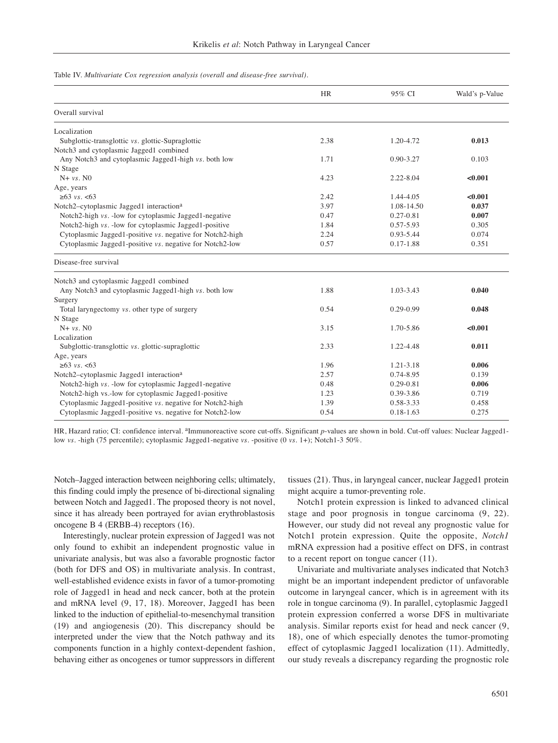Table IV. *Multivariate Cox regression analysis (overall and disease-free survival).*

|                                                           | <b>HR</b> | 95% CI        | Wald's p-Value |
|-----------------------------------------------------------|-----------|---------------|----------------|
| Overall survival                                          |           |               |                |
| Localization                                              |           |               |                |
| Subglottic-transglottic vs. glottic-Supraglottic          | 2.38      | 1.20-4.72     | 0.013          |
| Notch3 and cytoplasmic Jagged1 combined                   |           |               |                |
| Any Notch3 and cytoplasmic Jagged1-high vs. both low      | 1.71      | $0.90 - 3.27$ | 0.103          |
| N Stage                                                   |           |               |                |
| $N+ vs. N0$                                               | 4.23      | $2.22 - 8.04$ | < 0.001        |
| Age, years                                                |           |               |                |
| $≥63$ vs. <63                                             | 2.42      | 1.44-4.05     | < 0.001        |
| Notch2-cytoplasmic Jagged1 interaction <sup>a</sup>       | 3.97      | 1.08-14.50    | 0.037          |
| Notch2-high vs. - low for cytoplasmic Jagged1-negative    | 0.47      | $0.27 - 0.81$ | 0.007          |
| Notch2-high vs. - low for cytoplasmic Jagged1-positive    | 1.84      | 0.57-5.93     | 0.305          |
| Cytoplasmic Jagged1-positive vs. negative for Notch2-high | 2.24      | 0.93-5.44     | 0.074          |
| Cytoplasmic Jagged1-positive vs. negative for Notch2-low  | 0.57      | $0.17 - 1.88$ | 0.351          |
| Disease-free survival                                     |           |               |                |
| Notch3 and cytoplasmic Jagged1 combined                   |           |               |                |
| Any Notch3 and cytoplasmic Jagged1-high vs. both low      | 1.88      | 1.03-3.43     | 0.040          |
| Surgery                                                   |           |               |                |
| Total laryngectomy vs. other type of surgery              | 0.54      | $0.29 - 0.99$ | 0.048          |
| N Stage                                                   |           |               |                |
| $N+ vs. N0$                                               | 3.15      | 1.70-5.86     | < 0.001        |
| Localization                                              |           |               |                |
| Subglottic-transglottic vs. glottic-supraglottic          | 2.33      | 1.22-4.48     | 0.011          |
| Age, years                                                |           |               |                |
| $≥63$ vs. <63                                             | 1.96      | 1.21-3.18     | 0.006          |
| Notch2-cytoplasmic Jagged1 interaction <sup>a</sup>       | 2.57      | 0.74-8.95     | 0.139          |
| Notch2-high vs. - low for cytoplasmic Jagged1-negative    | 0.48      | 0.29-0.81     | 0.006          |
| Notch2-high vs.-low for cytoplasmic Jagged1-positive      | 1.23      | 0.39-3.86     | 0.719          |
| Cytoplasmic Jagged1-positive vs. negative for Notch2-high | 1.39      | 0.58-3.33     | 0.458          |
| Cytoplasmic Jagged1-positive vs. negative for Notch2-low  | 0.54      | $0.18 - 1.63$ | 0.275          |

HR, Hazard ratio; CI: confidence interval. <sup>a</sup>Immunoreactive score cut-offs. Significant *p*-values are shown in bold. Cut-off values: Nuclear Jagged1low *vs.* -high (75 percentile); cytoplasmic Jagged1-negative *vs.* -positive (0 *vs.* 1+); Notch1-3 50%.

Notch–Jagged interaction between neighboring cells; ultimately, this finding could imply the presence of bi-directional signaling between Notch and Jagged1. The proposed theory is not novel, since it has already been portrayed for avian erythroblastosis oncogene B 4 (ERBB-4) receptors (16).

Interestingly, nuclear protein expression of Jagged1 was not only found to exhibit an independent prognostic value in univariate analysis, but was also a favorable prognostic factor (both for DFS and OS) in multivariate analysis. In contrast, well-established evidence exists in favor of a tumor-promoting role of Jagged1 in head and neck cancer, both at the protein and mRNA level (9, 17, 18). Moreover, Jagged1 has been linked to the induction of epithelial-to-mesenchymal transition (19) and angiogenesis (20). This discrepancy should be interpreted under the view that the Notch pathway and its components function in a highly context-dependent fashion, behaving either as oncogenes or tumor suppressors in different

tissues (21). Thus, in laryngeal cancer, nuclear Jagged1 protein might acquire a tumor-preventing role.

Notch1 protein expression is linked to advanced clinical stage and poor prognosis in tongue carcinoma (9, 22). However, our study did not reveal any prognostic value for Notch1 protein expression. Quite the opposite, *Notch1* mRNA expression had a positive effect on DFS, in contrast to a recent report on tongue cancer (11).

Univariate and multivariate analyses indicated that Notch3 might be an important independent predictor of unfavorable outcome in laryngeal cancer, which is in agreement with its role in tongue carcinoma (9). In parallel, cytoplasmic Jagged1 protein expression conferred a worse DFS in multivariate analysis. Similar reports exist for head and neck cancer (9, 18), one of which especially denotes the tumor-promoting effect of cytoplasmic Jagged1 localization (11). Admittedly, our study reveals a discrepancy regarding the prognostic role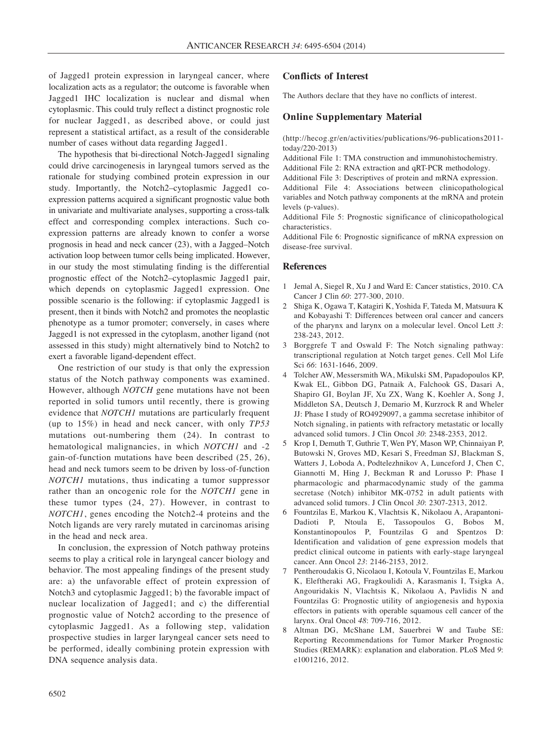of Jagged1 protein expression in laryngeal cancer, where localization acts as a regulator; the outcome is favorable when Jagged1 IHC localization is nuclear and dismal when cytoplasmic. This could truly reflect a distinct prognostic role for nuclear Jagged1, as described above, or could just represent a statistical artifact, as a result of the considerable number of cases without data regarding Jagged1.

The hypothesis that bi-directional Notch-Jagged1 signaling could drive carcinogenesis in laryngeal tumors served as the rationale for studying combined protein expression in our study. Importantly, the Notch2–cytoplasmic Jagged1 coexpression patterns acquired a significant prognostic value both in univariate and multivariate analyses, supporting a cross-talk effect and corresponding complex interactions. Such coexpression patterns are already known to confer a worse prognosis in head and neck cancer (23), with a Jagged–Notch activation loop between tumor cells being implicated. However, in our study the most stimulating finding is the differential prognostic effect of the Notch2–cytoplasmic Jagged1 pair, which depends on cytoplasmic Jagged1 expression. One possible scenario is the following: if cytoplasmic Jagged1 is present, then it binds with Notch2 and promotes the neoplastic phenotype as a tumor promoter; conversely, in cases where Jagged1 is not expressed in the cytoplasm, another ligand (not assessed in this study) might alternatively bind to Notch2 to exert a favorable ligand-dependent effect.

One restriction of our study is that only the expression status of the Notch pathway components was examined. However, although *NOTCH* gene mutations have not been reported in solid tumors until recently, there is growing evidence that *NOTCH1* mutations are particularly frequent (up to 15%) in head and neck cancer, with only *TP53* mutations out-numbering them (24). In contrast to hematological malignancies, in which *NOTCH1* and -2 gain-of-function mutations have been described (25, 26), head and neck tumors seem to be driven by loss-of-function *NOTCH1* mutations, thus indicating a tumor suppressor rather than an oncogenic role for the *NOTCH1* gene in these tumor types (24, 27). However, in contrast to *NOTCH1*, genes encoding the Notch2-4 proteins and the Notch ligands are very rarely mutated in carcinomas arising in the head and neck area.

In conclusion, the expression of Notch pathway proteins seems to play a critical role in laryngeal cancer biology and behavior. The most appealing findings of the present study are: a) the unfavorable effect of protein expression of Notch3 and cytoplasmic Jagged1; b) the favorable impact of nuclear localization of Jagged1; and c) the differential prognostic value of Notch2 according to the presence of cytoplasmic Jagged1. As a following step, validation prospective studies in larger laryngeal cancer sets need to be performed, ideally combining protein expression with DNA sequence analysis data.

## **Conflicts of Interest**

The Authors declare that they have no conflicts of interest.

### **Online Supplementary Material**

(http://hecog.gr/en/activities/publications/96-publications2011 today/220-2013)

Additional File 1: TMA construction and immunohistochemistry.

Additional File 2: RNA extraction and qRT-PCR methodology.

Additional File 3: Descriptives of protein and mRNA expression. Additional File 4: Associations between clinicopathological variables and Notch pathway components at the mRNA and protein levels (p-values).

Additional File 5: Prognostic significance of clinicopathological characteristics.

Additional File 6: Prognostic significance of mRNA expression on disease-free survival.

#### **References**

- 1 Jemal A, Siegel R, Xu J and Ward E: Cancer statistics, 2010. CA Cancer J Clin *60*: 277-300, 2010.
- 2 Shiga K, Ogawa T, Katagiri K, Yoshida F, Tateda M, Matsuura K and Kobayashi T: Differences between oral cancer and cancers of the pharynx and larynx on a molecular level. Oncol Lett *3*: 238-243, 2012.
- 3 Borggrefe T and Oswald F: The Notch signaling pathway: transcriptional regulation at Notch target genes. Cell Mol Life Sci *66*: 1631-1646, 2009.
- 4 Tolcher AW, Messersmith WA, Mikulski SM, Papadopoulos KP, Kwak EL, Gibbon DG, Patnaik A, Falchook GS, Dasari A, Shapiro GI, Boylan JF, Xu ZX, Wang K, Koehler A, Song J, Middleton SA, Deutsch J, Demario M, Kurzrock R and Wheler JJ: Phase I study of RO4929097, a gamma secretase inhibitor of Notch signaling, in patients with refractory metastatic or locally advanced solid tumors. J Clin Oncol *30*: 2348-2353, 2012.
- 5 Krop I, Demuth T, Guthrie T, Wen PY, Mason WP, Chinnaiyan P, Butowski N, Groves MD, Kesari S, Freedman SJ, Blackman S, Watters J, Loboda A, Podtelezhnikov A, Lunceford J, Chen C, Giannotti M, Hing J, Beckman R and Lorusso P: Phase I pharmacologic and pharmacodynamic study of the gamma secretase (Notch) inhibitor MK-0752 in adult patients with advanced solid tumors. J Clin Oncol *30*: 2307-2313, 2012.
- 6 Fountzilas E, Markou K, Vlachtsis K, Nikolaou A, Arapantoni-Dadioti P, Ntoula E, Tassopoulos G, Bobos M, Konstantinopoulos P, Fountzilas G and Spentzos D: Identification and validation of gene expression models that predict clinical outcome in patients with early-stage laryngeal cancer. Ann Oncol *23*: 2146-2153, 2012.
- 7 Pentheroudakis G, Nicolaou I, Kotoula V, Fountzilas E, Markou K, Eleftheraki AG, Fragkoulidi A, Karasmanis I, Tsigka A, Angouridakis N, Vlachtsis K, Nikolaou A, Pavlidis N and Fountzilas G: Prognostic utility of angiogenesis and hypoxia effectors in patients with operable squamous cell cancer of the larynx. Oral Oncol *48*: 709-716, 2012.
- 8 Altman DG, McShane LM, Sauerbrei W and Taube SE: Reporting Recommendations for Tumor Marker Prognostic Studies (REMARK): explanation and elaboration. PLoS Med *9*: e1001216, 2012.